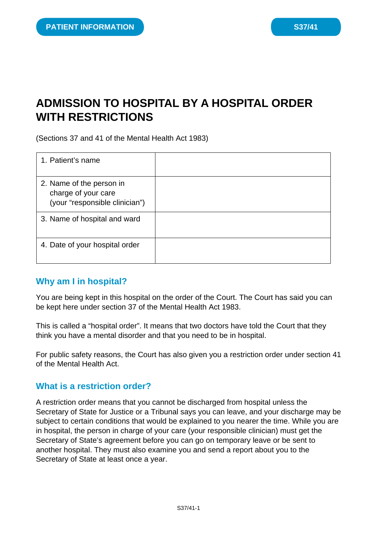# **ADMISSION TO HOSPITAL BY A HOSPITAL ORDER WITH RESTRICTIONS**

(Sections 37 and 41 of the Mental Health Act 1983)

| 1. Patient's name                                                                 |  |
|-----------------------------------------------------------------------------------|--|
| 2. Name of the person in<br>charge of your care<br>(your "responsible clinician") |  |
| 3. Name of hospital and ward                                                      |  |
| 4. Date of your hospital order                                                    |  |

## **Why am I in hospital?**

You are being kept in this hospital on the order of the Court. The Court has said you can be kept here under section 37 of the Mental Health Act 1983.

This is called a "hospital order". It means that two doctors have told the Court that they think you have a mental disorder and that you need to be in hospital.

For public safety reasons, the Court has also given you a restriction order under section 41 of the Mental Health Act.

#### **What is a restriction order?**

A restriction order means that you cannot be discharged from hospital unless the Secretary of State for Justice or a Tribunal says you can leave, and your discharge may be subject to certain conditions that would be explained to you nearer the time. While you are in hospital, the person in charge of your care (your responsible clinician) must get the Secretary of State's agreement before you can go on temporary leave or be sent to another hospital. They must also examine you and send a report about you to the Secretary of State at least once a year.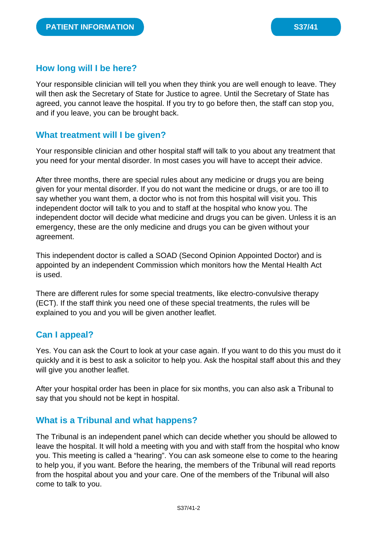# **How long will I be here?**

Your responsible clinician will tell you when they think you are well enough to leave. They will then ask the Secretary of State for Justice to agree. Until the Secretary of State has agreed, you cannot leave the hospital. If you try to go before then, the staff can stop you, and if you leave, you can be brought back.

# **What treatment will I be given?**

Your responsible clinician and other hospital staff will talk to you about any treatment that you need for your mental disorder. In most cases you will have to accept their advice.

After three months, there are special rules about any medicine or drugs you are being given for your mental disorder. If you do not want the medicine or drugs, or are too ill to say whether you want them, a doctor who is not from this hospital will visit you. This independent doctor will talk to you and to staff at the hospital who know you. The independent doctor will decide what medicine and drugs you can be given. Unless it is an emergency, these are the only medicine and drugs you can be given without your agreement.

This independent doctor is called a SOAD (Second Opinion Appointed Doctor) and is appointed by an independent Commission which monitors how the Mental Health Act is used.

There are different rules for some special treatments, like electro-convulsive therapy (ECT). If the staff think you need one of these special treatments, the rules will be explained to you and you will be given another leaflet.

# **Can I appeal?**

Yes. You can ask the Court to look at your case again. If you want to do this you must do it quickly and it is best to ask a solicitor to help you. Ask the hospital staff about this and they will give you another leaflet.

After your hospital order has been in place for six months, you can also ask a Tribunal to say that you should not be kept in hospital.

## **What is a Tribunal and what happens?**

The Tribunal is an independent panel which can decide whether you should be allowed to leave the hospital. It will hold a meeting with you and with staff from the hospital who know you. This meeting is called a "hearing". You can ask someone else to come to the hearing to help you, if you want. Before the hearing, the members of the Tribunal will read reports from the hospital about you and your care. One of the members of the Tribunal will also come to talk to you.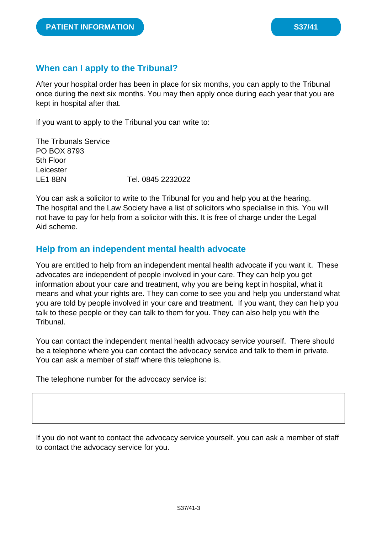# **When can I apply to the Tribunal?**

After your hospital order has been in place for six months, you can apply to the Tribunal once during the next six months. You may then apply once during each year that you are kept in hospital after that.

If you want to apply to the Tribunal you can write to:

The Tribunals Service PO BOX 8793 5th Floor Leicester LE1 8BN Tel. 0845 2232022

You can ask a solicitor to write to the Tribunal for you and help you at the hearing. The hospital and the Law Society have a list of solicitors who specialise in this. You will not have to pay for help from a solicitor with this. It is free of charge under the Legal Aid scheme.

#### **Help from an independent mental health advocate**

You are entitled to help from an independent mental health advocate if you want it. These advocates are independent of people involved in your care. They can help you get information about your care and treatment, why you are being kept in hospital, what it means and what your rights are. They can come to see you and help you understand what you are told by people involved in your care and treatment. If you want, they can help you talk to these people or they can talk to them for you. They can also help you with the Tribunal.

You can contact the independent mental health advocacy service yourself. There should be a telephone where you can contact the advocacy service and talk to them in private. You can ask a member of staff where this telephone is.

The telephone number for the advocacy service is:

If you do not want to contact the advocacy service yourself, you can ask a member of staff to contact the advocacy service for you.